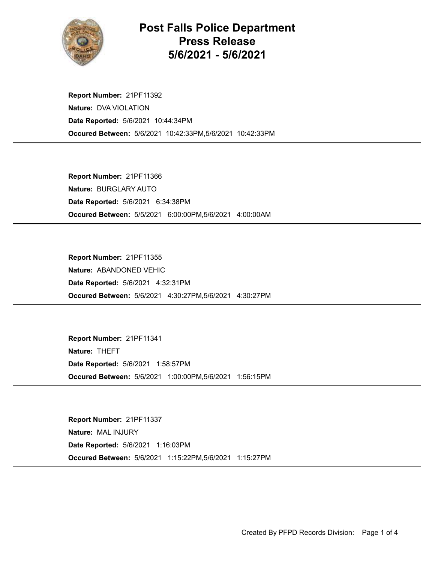

## Post Falls Police Department Press Release 5/6/2021 - 5/6/2021

Occured Between: 5/6/2021 10:42:33PM,5/6/2021 10:42:33PM Report Number: 21PF11392 Nature: DVA VIOLATION Date Reported: 5/6/2021 10:44:34PM

Occured Between: 5/5/2021 6:00:00PM,5/6/2021 4:00:00AM Report Number: 21PF11366 Nature: BURGLARY AUTO Date Reported: 5/6/2021 6:34:38PM

Occured Between: 5/6/2021 4:30:27PM,5/6/2021 4:30:27PM Report Number: 21PF11355 Nature: ABANDONED VEHIC Date Reported: 5/6/2021 4:32:31PM

Occured Between: 5/6/2021 1:00:00PM,5/6/2021 1:56:15PM Report Number: 21PF11341 Nature: THEFT Date Reported: 5/6/2021 1:58:57PM

Occured Between: 5/6/2021 1:15:22PM,5/6/2021 1:15:27PM Report Number: 21PF11337 Nature: MAL INJURY Date Reported: 5/6/2021 1:16:03PM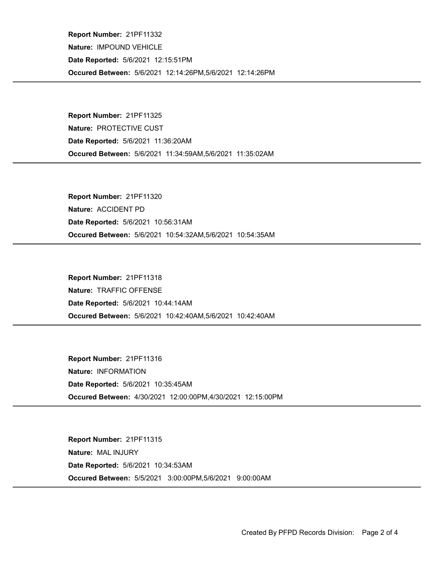Occured Between: 5/6/2021 12:14:26PM,5/6/2021 12:14:26PM Report Number: 21PF11332 Nature: IMPOUND VEHICLE Date Reported: 5/6/2021 12:15:51PM

Occured Between: 5/6/2021 11:34:59AM,5/6/2021 11:35:02AM Report Number: 21PF11325 Nature: PROTECTIVE CUST Date Reported: 5/6/2021 11:36:20AM

Occured Between: 5/6/2021 10:54:32AM,5/6/2021 10:54:35AM Report Number: 21PF11320 Nature: ACCIDENT PD Date Reported: 5/6/2021 10:56:31AM

Occured Between: 5/6/2021 10:42:40AM,5/6/2021 10:42:40AM Report Number: 21PF11318 Nature: TRAFFIC OFFENSE Date Reported: 5/6/2021 10:44:14AM

Occured Between: 4/30/2021 12:00:00PM,4/30/2021 12:15:00PM Report Number: 21PF11316 Nature: INFORMATION Date Reported: 5/6/2021 10:35:45AM

Occured Between: 5/5/2021 3:00:00PM,5/6/2021 9:00:00AM Report Number: 21PF11315 Nature: MAL INJURY Date Reported: 5/6/2021 10:34:53AM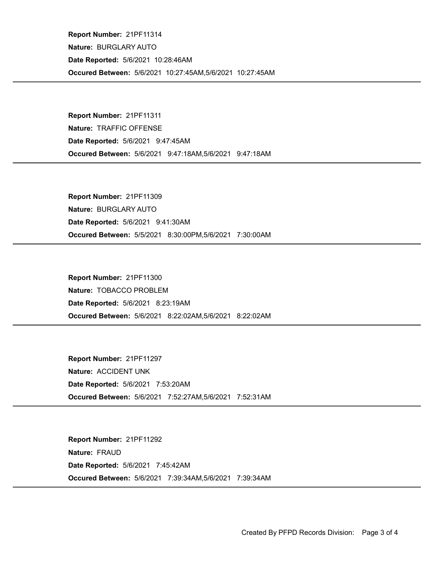Occured Between: 5/6/2021 10:27:45AM,5/6/2021 10:27:45AM Report Number: 21PF11314 Nature: BURGLARY AUTO Date Reported: 5/6/2021 10:28:46AM

Occured Between: 5/6/2021 9:47:18AM,5/6/2021 9:47:18AM Report Number: 21PF11311 Nature: TRAFFIC OFFENSE Date Reported: 5/6/2021 9:47:45AM

Occured Between: 5/5/2021 8:30:00PM,5/6/2021 7:30:00AM Report Number: 21PF11309 Nature: BURGLARY AUTO Date Reported: 5/6/2021 9:41:30AM

Occured Between: 5/6/2021 8:22:02AM,5/6/2021 8:22:02AM Report Number: 21PF11300 Nature: TOBACCO PROBLEM Date Reported: 5/6/2021 8:23:19AM

Occured Between: 5/6/2021 7:52:27AM,5/6/2021 7:52:31AM Report Number: 21PF11297 Nature: ACCIDENT UNK Date Reported: 5/6/2021 7:53:20AM

Occured Between: 5/6/2021 7:39:34AM,5/6/2021 7:39:34AM Report Number: 21PF11292 Nature: FRAUD Date Reported: 5/6/2021 7:45:42AM